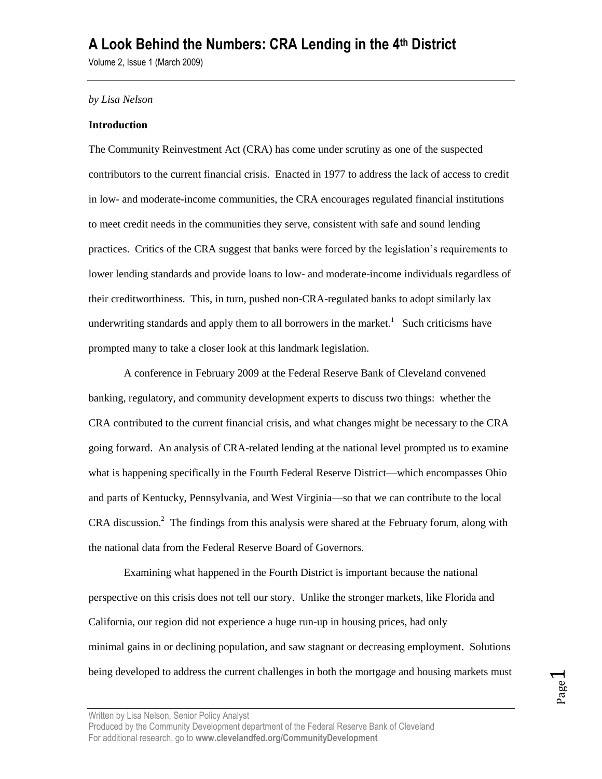Volume 2, Issue 1 (March 2009)

#### *by Lisa Nelson*

### **Introduction**

The Community Reinvestment Act (CRA) has come under scrutiny as one of the suspected contributors to the current financial crisis. Enacted in 1977 to address the lack of access to credit in low- and moderate-income communities, the CRA encourages regulated financial institutions to meet credit needs in the communities they serve, consistent with safe and sound lending practices. Critics of the CRA suggest that banks were forced by the legislation's requirements to lower lending standards and provide loans to low- and moderate-income individuals regardless of their creditworthiness. This, in turn, pushed non-CRA-regulated banks to adopt similarly lax underwriting standards and apply them to all borrowers in the market.<sup>1</sup> Such criticisms have prompted many to take a closer look at this landmark legislation.

A conference in February 2009 at the Federal Reserve Bank of Cleveland convened banking, regulatory, and community development experts to discuss two things: whether the CRA contributed to the current financial crisis, and what changes might be necessary to the CRA going forward. An analysis of CRA-related lending at the national level prompted us to examine what is happening specifically in the Fourth Federal Reserve District—which encompasses Ohio and parts of Kentucky, Pennsylvania, and West Virginia—so that we can contribute to the local CRA discussion.<sup>2</sup> The findings from this analysis were shared at the February forum, along with the national data from the Federal Reserve Board of Governors.

Examining what happened in the Fourth District is important because the national perspective on this crisis does not tell our story. Unlike the stronger markets, like Florida and California, our region did not experience a huge run-up in housing prices, had only minimal gains in or declining population, and saw stagnant or decreasing employment. Solutions being developed to address the current challenges in both the mortgage and housing markets must

Written by Lisa Nelson, Senior Policy Analyst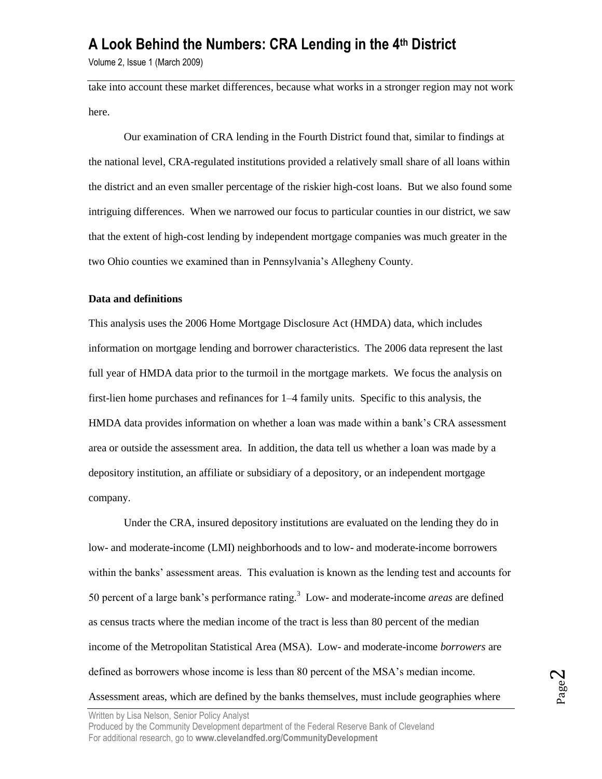Volume 2, Issue 1 (March 2009)

take into account these market differences, because what works in a stronger region may not work here.

Our examination of CRA lending in the Fourth District found that, similar to findings at the national level, CRA-regulated institutions provided a relatively small share of all loans within the district and an even smaller percentage of the riskier high-cost loans. But we also found some intriguing differences. When we narrowed our focus to particular counties in our district, we saw that the extent of high-cost lending by independent mortgage companies was much greater in the two Ohio counties we examined than in Pennsylvania's Allegheny County.

#### **Data and definitions**

This analysis uses the 2006 Home Mortgage Disclosure Act (HMDA) data, which includes information on mortgage lending and borrower characteristics. The 2006 data represent the last full year of HMDA data prior to the turmoil in the mortgage markets. We focus the analysis on first-lien home purchases and refinances for 1–4 family units. Specific to this analysis, the HMDA data provides information on whether a loan was made within a bank's CRA assessment area or outside the assessment area. In addition, the data tell us whether a loan was made by a depository institution, an affiliate or subsidiary of a depository, or an independent mortgage company.

Under the CRA, insured depository institutions are evaluated on the lending they do in low- and moderate-income (LMI) neighborhoods and to low- and moderate-income borrowers within the banks' assessment areas. This evaluation is known as the lending test and accounts for 50 percent of a large bank's performance rating.<sup>3</sup> Low- and moderate-income *areas* are defined as census tracts where the median income of the tract is less than 80 percent of the median income of the Metropolitan Statistical Area (MSA). Low- and moderate-income *borrowers* are defined as borrowers whose income is less than 80 percent of the MSA's median income.

Assessment areas, which are defined by the banks themselves, must include geographies where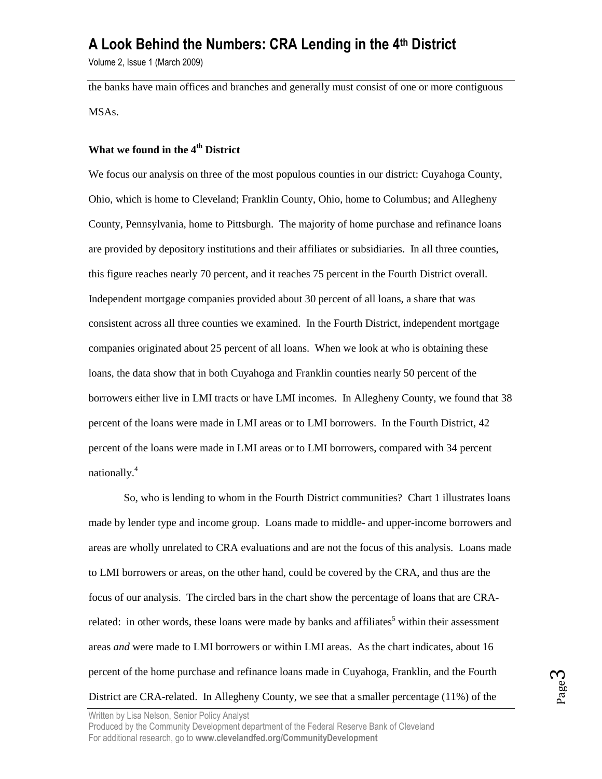Volume 2, Issue 1 (March 2009)

the banks have main offices and branches and generally must consist of one or more contiguous MSAs.

## **What we found in the 4th District**

We focus our analysis on three of the most populous counties in our district: Cuyahoga County, Ohio, which is home to Cleveland; Franklin County, Ohio, home to Columbus; and Allegheny County, Pennsylvania, home to Pittsburgh. The majority of home purchase and refinance loans are provided by depository institutions and their affiliates or subsidiaries. In all three counties, this figure reaches nearly 70 percent, and it reaches 75 percent in the Fourth District overall. Independent mortgage companies provided about 30 percent of all loans, a share that was consistent across all three counties we examined. In the Fourth District, independent mortgage companies originated about 25 percent of all loans. When we look at who is obtaining these loans, the data show that in both Cuyahoga and Franklin counties nearly 50 percent of the borrowers either live in LMI tracts or have LMI incomes. In Allegheny County, we found that 38 percent of the loans were made in LMI areas or to LMI borrowers. In the Fourth District, 42 percent of the loans were made in LMI areas or to LMI borrowers, compared with 34 percent nationally.<sup>4</sup>

So, who is lending to whom in the Fourth District communities? Chart 1 illustrates loans made by lender type and income group. Loans made to middle- and upper-income borrowers and areas are wholly unrelated to CRA evaluations and are not the focus of this analysis. Loans made to LMI borrowers or areas, on the other hand, could be covered by the CRA, and thus are the focus of our analysis. The circled bars in the chart show the percentage of loans that are CRArelated: in other words, these loans were made by banks and affiliates<sup>5</sup> within their assessment areas *and* were made to LMI borrowers or within LMI areas. As the chart indicates, about 16 percent of the home purchase and refinance loans made in Cuyahoga, Franklin, and the Fourth District are CRA-related. In Allegheny County, we see that a smaller percentage (11%) of the

Written by Lisa Nelson, Senior Policy Analyst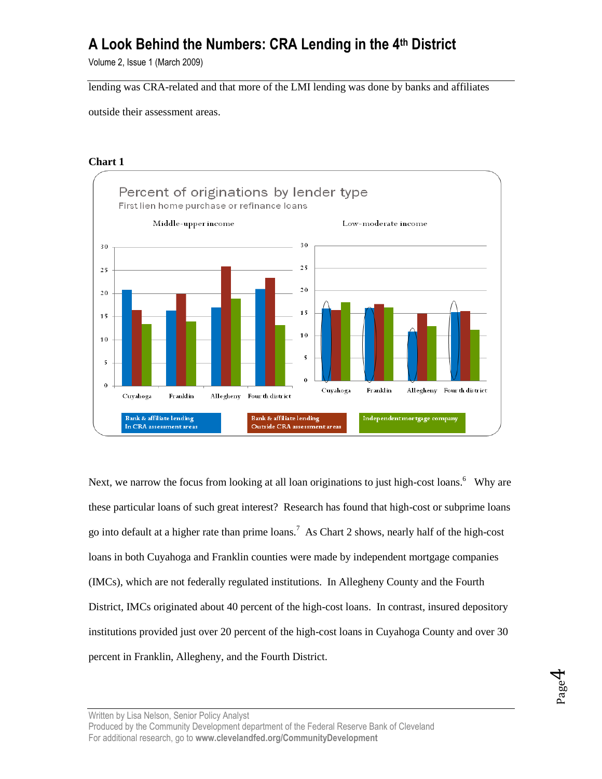Volume 2, Issue 1 (March 2009)

lending was CRA-related and that more of the LMI lending was done by banks and affiliates

outside their assessment areas.

### **Chart 1**



Next, we narrow the focus from looking at all loan originations to just high-cost loans.<sup>6</sup> Why are these particular loans of such great interest? Research has found that high-cost or subprime loans go into default at a higher rate than prime loans.<sup>7</sup> As Chart 2 shows, nearly half of the high-cost loans in both Cuyahoga and Franklin counties were made by independent mortgage companies (IMCs), which are not federally regulated institutions. In Allegheny County and the Fourth District, IMCs originated about 40 percent of the high-cost loans. In contrast, insured depository institutions provided just over 20 percent of the high-cost loans in Cuyahoga County and over 30 percent in Franklin, Allegheny, and the Fourth District.

Written by Lisa Nelson, Senior Policy Analyst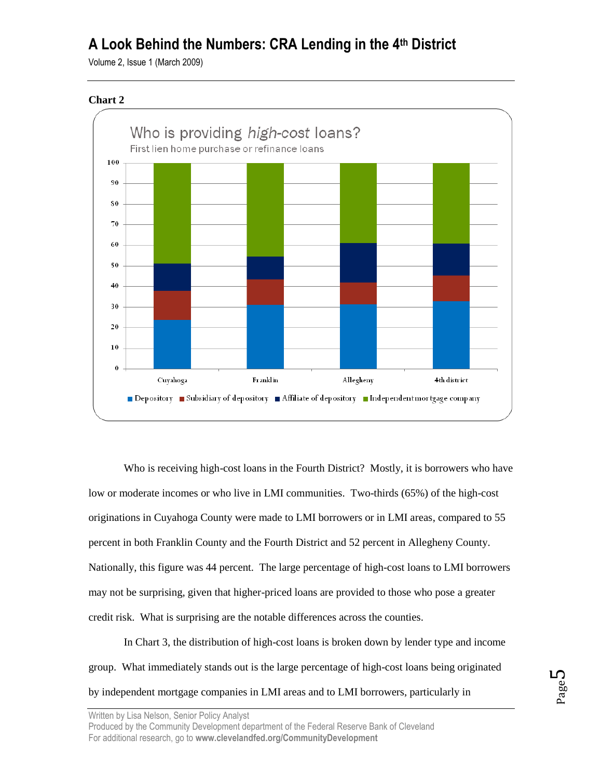Volume 2, Issue 1 (March 2009)





Who is receiving high-cost loans in the Fourth District? Mostly, it is borrowers who have low or moderate incomes or who live in LMI communities. Two-thirds (65%) of the high-cost originations in Cuyahoga County were made to LMI borrowers or in LMI areas, compared to 55 percent in both Franklin County and the Fourth District and 52 percent in Allegheny County. Nationally, this figure was 44 percent. The large percentage of high-cost loans to LMI borrowers may not be surprising, given that higher-priced loans are provided to those who pose a greater credit risk. What is surprising are the notable differences across the counties.

In Chart 3, the distribution of high-cost loans is broken down by lender type and income group. What immediately stands out is the large percentage of high-cost loans being originated by independent mortgage companies in LMI areas and to LMI borrowers, particularly in

Written by Lisa Nelson, Senior Policy Analyst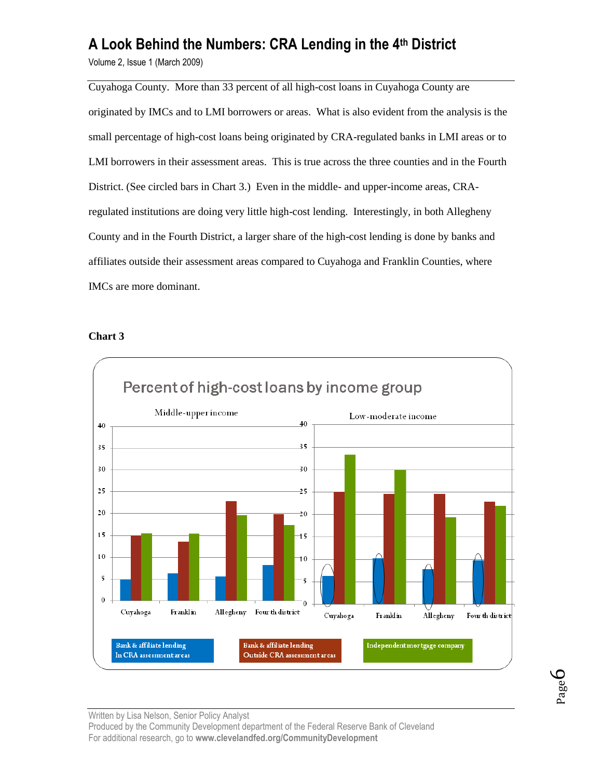Volume 2, Issue 1 (March 2009)

Cuyahoga County. More than 33 percent of all high-cost loans in Cuyahoga County are originated by IMCs and to LMI borrowers or areas. What is also evident from the analysis is the small percentage of high-cost loans being originated by CRA-regulated banks in LMI areas or to LMI borrowers in their assessment areas. This is true across the three counties and in the Fourth District. (See circled bars in Chart 3.) Even in the middle- and upper-income areas, CRAregulated institutions are doing very little high-cost lending. Interestingly, in both Allegheny County and in the Fourth District, a larger share of the high-cost lending is done by banks and affiliates outside their assessment areas compared to Cuyahoga and Franklin Counties, where IMCs are more dominant.

### **Chart 3**



Page 6

Written by Lisa Nelson, Senior Policy Analyst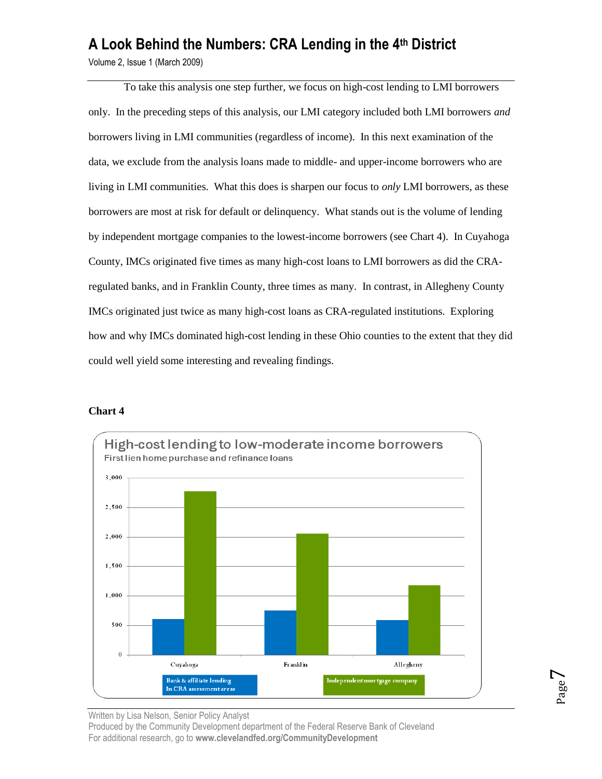Volume 2, Issue 1 (March 2009)

To take this analysis one step further, we focus on high-cost lending to LMI borrowers only. In the preceding steps of this analysis, our LMI category included both LMI borrowers *and* borrowers living in LMI communities (regardless of income). In this next examination of the data, we exclude from the analysis loans made to middle- and upper-income borrowers who are living in LMI communities. What this does is sharpen our focus to *only* LMI borrowers, as these borrowers are most at risk for default or delinquency. What stands out is the volume of lending by independent mortgage companies to the lowest-income borrowers (see Chart 4). In Cuyahoga County, IMCs originated five times as many high-cost loans to LMI borrowers as did the CRAregulated banks, and in Franklin County, three times as many. In contrast, in Allegheny County IMCs originated just twice as many high-cost loans as CRA-regulated institutions. Exploring how and why IMCs dominated high-cost lending in these Ohio counties to the extent that they did could well yield some interesting and revealing findings.

### **Chart 4**



Written by Lisa Nelson, Senior Policy Analyst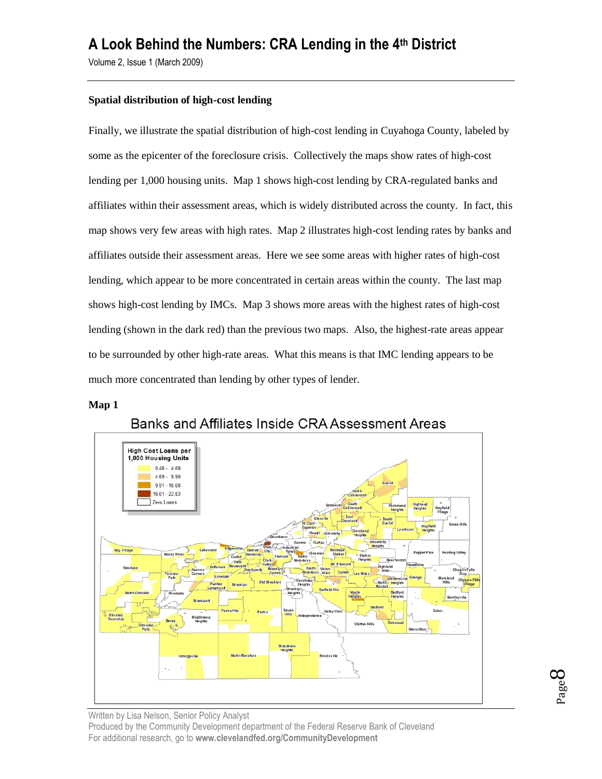Volume 2, Issue 1 (March 2009)

### **Spatial distribution of high-cost lending**

Finally, we illustrate the spatial distribution of high-cost lending in Cuyahoga County, labeled by some as the epicenter of the foreclosure crisis. Collectively the maps show rates of high-cost lending per 1,000 housing units. Map 1 shows high-cost lending by CRA-regulated banks and affiliates within their assessment areas, which is widely distributed across the county. In fact, this map shows very few areas with high rates. Map 2 illustrates high-cost lending rates by banks and affiliates outside their assessment areas. Here we see some areas with higher rates of high-cost lending, which appear to be more concentrated in certain areas within the county. The last map shows high-cost lending by IMCs. Map 3 shows more areas with the highest rates of high-cost lending (shown in the dark red) than the previous two maps. Also, the highest-rate areas appear to be surrounded by other high-rate areas. What this means is that IMC lending appears to be much more concentrated than lending by other types of lender.

#### **Map 1**



Banks and Affiliates Inside CRA Assessment Areas

Page  $\infty$ 

Written by Lisa Nelson, Senior Policy Analyst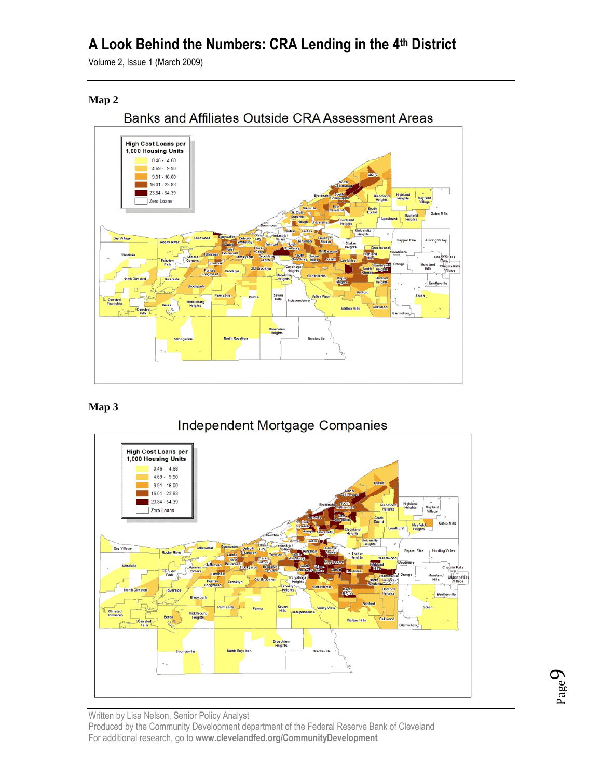Volume 2, Issue 1 (March 2009)

## **Map 2**



## **Map 3**





Page  $\sigma$ 

Written by Lisa Nelson, Senior Policy Analyst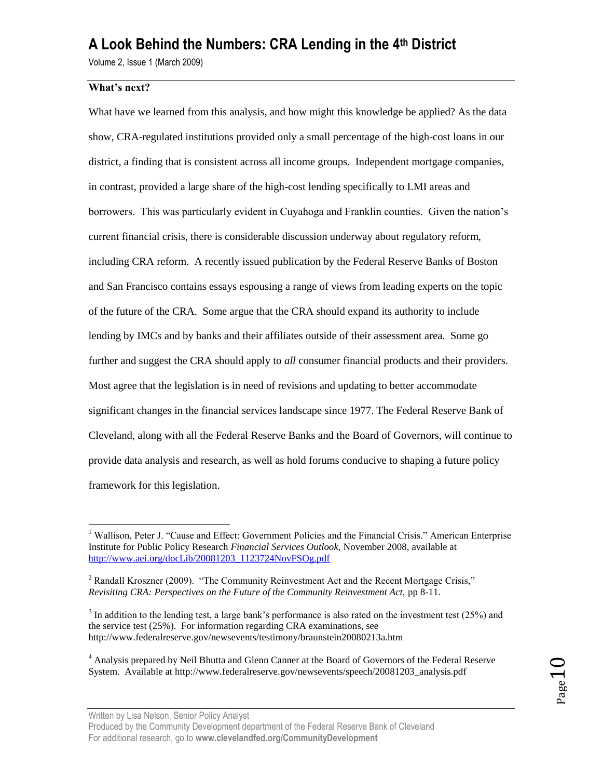Volume 2, Issue 1 (March 2009)

## **What's next?**

 $\overline{a}$ 

What have we learned from this analysis, and how might this knowledge be applied? As the data show, CRA-regulated institutions provided only a small percentage of the high-cost loans in our district, a finding that is consistent across all income groups. Independent mortgage companies, in contrast, provided a large share of the high-cost lending specifically to LMI areas and borrowers. This was particularly evident in Cuyahoga and Franklin counties. Given the nation's current financial crisis, there is considerable discussion underway about regulatory reform, including CRA reform. A recently issued publication by the Federal Reserve Banks of Boston and San Francisco contains essays espousing a range of views from leading experts on the topic of the future of the CRA. Some argue that the CRA should expand its authority to include lending by IMCs and by banks and their affiliates outside of their assessment area. Some go further and suggest the CRA should apply to *all* consumer financial products and their providers. Most agree that the legislation is in need of revisions and updating to better accommodate significant changes in the financial services landscape since 1977. The Federal Reserve Bank of Cleveland, along with all the Federal Reserve Banks and the Board of Governors, will continue to provide data analysis and research, as well as hold forums conducive to shaping a future policy framework for this legislation.

<sup>&</sup>lt;sup>1</sup> Wallison. Peter J. "Cause and Effect: Government Policies and the Financial Crisis." American Enterprise Institute for Public Policy Research *Financial Services Outlook*, November 2008, available at [http://www.aei.org/docLib/20081203\\_1123724NovFSOg.pdf](http://www.aei.org/docLib/20081203_1123724NovFSOg.pdf)

 $2$  Randall Kroszner (2009). "The Community Reinvestment Act and the Recent Mortgage Crisis," *Revisiting CRA: Perspectives on the Future of the Community Reinvestment Act,* pp 8-11.

 $3$  In addition to the lending test, a large bank's performance is also rated on the investment test (25%) and the service test (25%). For information regarding CRA examinations, see http://www.federalreserve.gov/newsevents/testimony/braunstein20080213a.htm

<sup>&</sup>lt;sup>4</sup> Analysis prepared by Neil Bhutta and Glenn Canner at the Board of Governors of the Federal Reserve System. Available at http://www.federalreserve.gov/newsevents/speech/20081203\_analysis.pdf

Written by Lisa Nelson, Senior Policy Analyst

Produced by the Community Development department of the Federal Reserve Bank of Cleveland For additional research, go to **www.clevelandfed.org/CommunityDevelopment**